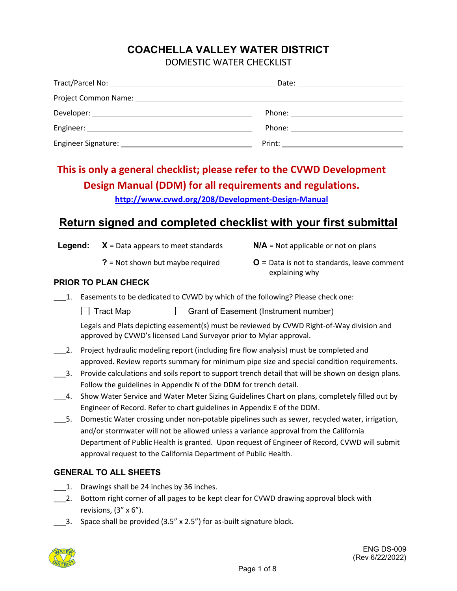# **COACHELLA VALLEY WATER DISTRICT**

| DOMESTIC WATER CHECKLIST |
|--------------------------|
|--------------------------|

| Phone: <u>___________________</u> _____ |
|-----------------------------------------|
|                                         |
|                                         |

# **This is only a general checklist; please refer to the CVWD Development Design Manual (DDM) for all requirements and regulations.**

**<http://www.cvwd.org/208/Development-Design-Manual>**

# **Return signed and completed checklist with your first submittal**

**Legend: X** = Data appears to meet standards **N/A** = Not applicable or not on plans

- 
- **?** = Not shown but maybe required **O** = Data is not to standards, leave comment explaining why

## **PRIOR TO PLAN CHECK**

- \_\_\_1. Easements to be dedicated to CVWD by which of the following? Please check one:
	- Tract Map Grant of Easement (Instrument number)

Legals and Plats depicting easement(s) must be reviewed by CVWD Right-of-Way division and approved by CVWD's licensed Land Surveyor prior to Mylar approval.

- \_\_\_2. Project hydraulic modeling report (including fire flow analysis) must be completed and approved. Review reports summary for minimum pipe size and special condition requirements.
- \_\_\_3. Provide calculations and soils report to support trench detail that will be shown on design plans. Follow the guidelines in Appendix N of the DDM for trench detail.
- 4. Show Water Service and Water Meter Sizing Guidelines Chart on plans, completely filled out by Engineer of Record. Refer to chart guidelines in Appendix E of the DDM.
- \_\_\_5. Domestic Water crossing under non-potable pipelines such as sewer, recycled water, irrigation, and/or stormwater will not be allowed unless a variance approval from the California Department of Public Health is granted. Upon request of Engineer of Record, CVWD will submit approval request to the California Department of Public Health.

# **GENERAL TO ALL SHEETS**

- 1. Drawings shall be 24 inches by 36 inches.
- 2. Bottom right corner of all pages to be kept clear for CVWD drawing approval block with revisions,  $(3'' \times 6'')$ .
- \_\_\_3. Space shall be provided (3.5" x 2.5") for as-built signature block.

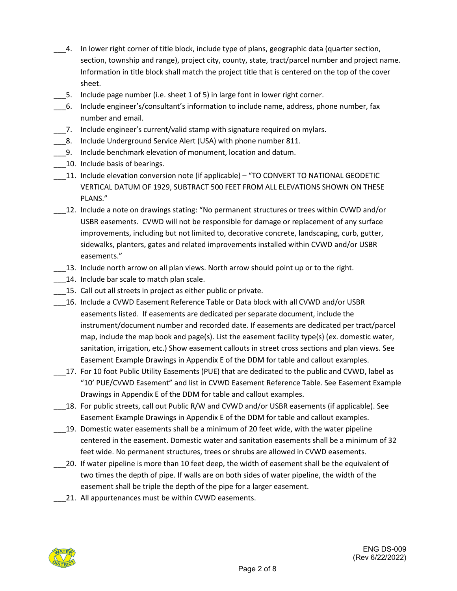- \_\_\_4. In lower right corner of title block, include type of plans, geographic data (quarter section, section, township and range), project city, county, state, tract/parcel number and project name. Information in title block shall match the project title that is centered on the top of the cover sheet.
- \_\_\_5. Include page number (i.e. sheet 1 of 5) in large font in lower right corner.
- \_\_\_6. Include engineer's/consultant's information to include name, address, phone number, fax number and email.
- \_\_\_7. Include engineer's current/valid stamp with signature required on mylars.
- 8. Include Underground Service Alert (USA) with phone number 811.
- \_\_\_9. Include benchmark elevation of monument, location and datum.
- 10. Include basis of bearings.
- \_\_\_11. Include elevation conversion note (if applicable) "TO CONVERT TO NATIONAL GEODETIC VERTICAL DATUM OF 1929, SUBTRACT 500 FEET FROM ALL ELEVATIONS SHOWN ON THESE PLANS."
- \_\_\_12. Include a note on drawings stating: "No permanent structures or trees within CVWD and/or USBR easements. CVWD will not be responsible for damage or replacement of any surface improvements, including but not limited to, decorative concrete, landscaping, curb, gutter, sidewalks, planters, gates and related improvements installed within CVWD and/or USBR easements."
	- \_\_\_13. Include north arrow on all plan views. North arrow should point up or to the right.
- 14. Include bar scale to match plan scale.
- 15. Call out all streets in project as either public or private.
- \_\_\_16. Include a CVWD Easement Reference Table or Data block with all CVWD and/or USBR easements listed. If easements are dedicated per separate document, include the instrument/document number and recorded date. If easements are dedicated per tract/parcel map, include the map book and page(s). List the easement facility type(s) (ex. domestic water, sanitation, irrigation, etc.) Show easement callouts in street cross sections and plan views. See Easement Example Drawings in Appendix E of the DDM for table and callout examples.
- 17. For 10 foot Public Utility Easements (PUE) that are dedicated to the public and CVWD, label as "10' PUE/CVWD Easement" and list in CVWD Easement Reference Table. See Easement Example Drawings in Appendix E of the DDM for table and callout examples.
- \_\_\_18. For public streets, call out Public R/W and CVWD and/or USBR easements (if applicable). See Easement Example Drawings in Appendix E of the DDM for table and callout examples.
- \_\_\_19. Domestic water easements shall be a minimum of 20 feet wide, with the water pipeline centered in the easement. Domestic water and sanitation easements shall be a minimum of 32 feet wide. No permanent structures, trees or shrubs are allowed in CVWD easements.
- \_\_\_20. If water pipeline is more than 10 feet deep, the width of easement shall be the equivalent of two times the depth of pipe. If walls are on both sides of water pipeline, the width of the easement shall be triple the depth of the pipe for a larger easement.
- 21. All appurtenances must be within CVWD easements.

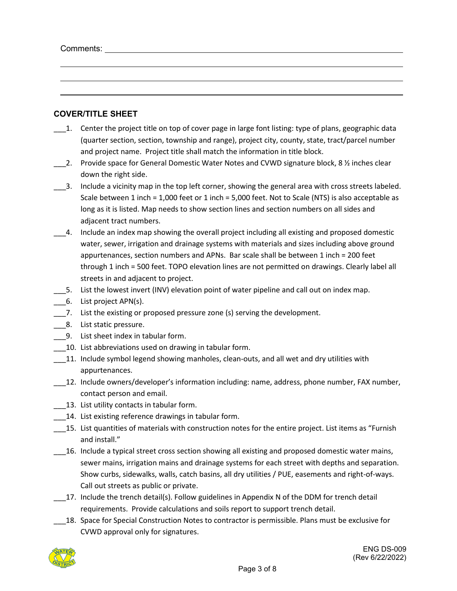Comments:

#### **COVER/TITLE SHEET**

- \_\_\_1. Center the project title on top of cover page in large font listing: type of plans, geographic data (quarter section, section, township and range), project city, county, state, tract/parcel number and project name. Project title shall match the information in title block.
- 2. Provide space for General Domestic Water Notes and CVWD signature block, 8  $\frac{1}{2}$  inches clear down the right side.
- \_\_\_3. Include a vicinity map in the top left corner, showing the general area with cross streets labeled. Scale between 1 inch = 1,000 feet or 1 inch = 5,000 feet. Not to Scale (NTS) is also acceptable as long as it is listed. Map needs to show section lines and section numbers on all sides and adjacent tract numbers.
- \_\_\_4. Include an index map showing the overall project including all existing and proposed domestic water, sewer, irrigation and drainage systems with materials and sizes including above ground appurtenances, section numbers and APNs. Bar scale shall be between 1 inch = 200 feet through 1 inch = 500 feet. TOPO elevation lines are not permitted on drawings. Clearly label all streets in and adjacent to project.
- \_\_\_5. List the lowest invert (INV) elevation point of water pipeline and call out on index map.
- \_\_\_6. List project APN(s).
- \_\_\_7. List the existing or proposed pressure zone (s) serving the development.
- \_\_\_8. List static pressure.
- \_\_\_9. List sheet index in tabular form.
- \_\_\_10. List abbreviations used on drawing in tabular form.
- 11. Include symbol legend showing manholes, clean-outs, and all wet and dry utilities with appurtenances.
- \_\_\_12. Include owners/developer's information including: name, address, phone number, FAX number, contact person and email.
- 13. List utility contacts in tabular form.
- \_\_\_14. List existing reference drawings in tabular form.
- \_\_\_15. List quantities of materials with construction notes for the entire project. List items as "Furnish and install."
- \_\_\_16. Include a typical street cross section showing all existing and proposed domestic water mains, sewer mains, irrigation mains and drainage systems for each street with depths and separation. Show curbs, sidewalks, walls, catch basins, all dry utilities / PUE, easements and right-of-ways. Call out streets as public or private.
- 17. Include the trench detail(s). Follow guidelines in Appendix N of the DDM for trench detail requirements. Provide calculations and soils report to support trench detail.
- \_\_\_18. Space for Special Construction Notes to contractor is permissible. Plans must be exclusive for CVWD approval only for signatures.

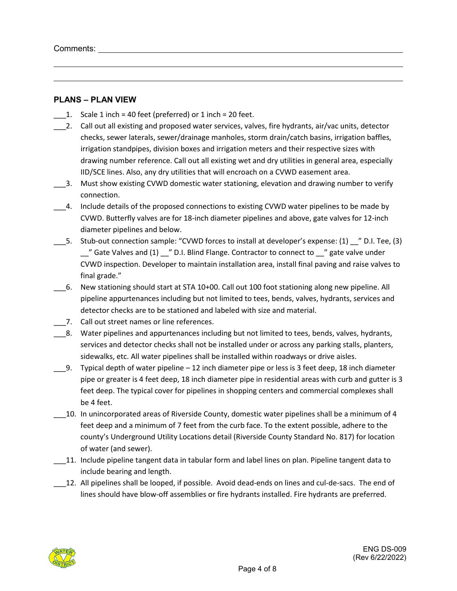#### **PLANS – PLAN VIEW**

- $\Box$  1. Scale 1 inch = 40 feet (preferred) or 1 inch = 20 feet.
- \_\_\_2. Call out all existing and proposed water services, valves, fire hydrants, air/vac units, detector checks, sewer laterals, sewer/drainage manholes, storm drain/catch basins, irrigation baffles, irrigation standpipes, division boxes and irrigation meters and their respective sizes with drawing number reference. Call out all existing wet and dry utilities in general area, especially IID/SCE lines. Also, any dry utilities that will encroach on a CVWD easement area.
- \_\_\_3. Must show existing CVWD domestic water stationing, elevation and drawing number to verify connection.
- \_\_\_4. Include details of the proposed connections to existing CVWD water pipelines to be made by CVWD. Butterfly valves are for 18-inch diameter pipelines and above, gate valves for 12-inch diameter pipelines and below.
- 5. Stub-out connection sample: "CVWD forces to install at developer's expense: (1)  $\blacksquare$  D.I. Tee, (3)  $\degree$  Gate Valves and (1)  $\degree$  D.I. Blind Flange. Contractor to connect to  $\degree$  gate valve under CVWD inspection. Developer to maintain installation area, install final paving and raise valves to final grade."
- \_\_\_6. New stationing should start at STA 10+00. Call out 100 foot stationing along new pipeline. All pipeline appurtenances including but not limited to tees, bends, valves, hydrants, services and detector checks are to be stationed and labeled with size and material.
- 7. Call out street names or line references.
- \_\_\_8. Water pipelines and appurtenances including but not limited to tees, bends, valves, hydrants, services and detector checks shall not be installed under or across any parking stalls, planters, sidewalks, etc. All water pipelines shall be installed within roadways or drive aisles.
- $\_\,$ 9. Typical depth of water pipeline 12 inch diameter pipe or less is 3 feet deep, 18 inch diameter pipe or greater is 4 feet deep, 18 inch diameter pipe in residential areas with curb and gutter is 3 feet deep. The typical cover for pipelines in shopping centers and commercial complexes shall be 4 feet.
- \_\_\_10. In unincorporated areas of Riverside County, domestic water pipelines shall be a minimum of 4 feet deep and a minimum of 7 feet from the curb face. To the extent possible, adhere to the county's Underground Utility Locations detail (Riverside County Standard No. 817) for location of water (and sewer).
- \_\_\_11. Include pipeline tangent data in tabular form and label lines on plan. Pipeline tangent data to include bearing and length.
- \_\_\_12. All pipelines shall be looped, if possible. Avoid dead-ends on lines and cul-de-sacs. The end of lines should have blow-off assemblies or fire hydrants installed. Fire hydrants are preferred.

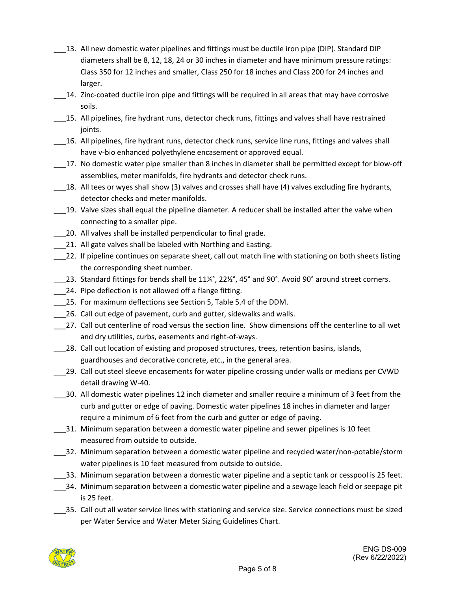- 13. All new domestic water pipelines and fittings must be ductile iron pipe (DIP). Standard DIP diameters shall be 8, 12, 18, 24 or 30 inches in diameter and have minimum pressure ratings: Class 350 for 12 inches and smaller, Class 250 for 18 inches and Class 200 for 24 inches and larger.
- \_\_\_14. Zinc-coated ductile iron pipe and fittings will be required in all areas that may have corrosive soils.
- \_\_\_15. All pipelines, fire hydrant runs, detector check runs, fittings and valves shall have restrained joints.
- \_\_\_16. All pipelines, fire hydrant runs, detector check runs, service line runs, fittings and valves shall have v-bio enhanced polyethylene encasement or approved equal.
- \_\_\_17. No domestic water pipe smaller than 8 inches in diameter shall be permitted except for blow-off assemblies, meter manifolds, fire hydrants and detector check runs.
- \_\_\_18. All tees or wyes shall show (3) valves and crosses shall have (4) valves excluding fire hydrants, detector checks and meter manifolds.
- 19. Valve sizes shall equal the pipeline diameter. A reducer shall be installed after the valve when connecting to a smaller pipe.
- \_\_\_20. All valves shall be installed perpendicular to final grade.
- 21. All gate valves shall be labeled with Northing and Easting.
- \_\_\_22. If pipeline continues on separate sheet, call out match line with stationing on both sheets listing the corresponding sheet number.
- $\_$ 23. Standard fittings for bends shall be 11¼°, 22½°, 45° and 90°. Avoid 90° around street corners.
- 24. Pipe deflection is not allowed off a flange fitting.
- \_\_\_25. For maximum deflections see Section 5, Table 5.4 of the DDM.
- 26. Call out edge of pavement, curb and gutter, sidewalks and walls.
- \_\_\_27. Call out centerline of road versus the section line. Show dimensions off the centerline to all wet and dry utilities, curbs, easements and right-of-ways.
- 28. Call out location of existing and proposed structures, trees, retention basins, islands, guardhouses and decorative concrete, etc., in the general area.
- \_\_\_29. Call out steel sleeve encasements for water pipeline crossing under walls or medians per CVWD detail drawing W-40.
- \_\_\_30. All domestic water pipelines 12 inch diameter and smaller require a minimum of 3 feet from the curb and gutter or edge of paving. Domestic water pipelines 18 inches in diameter and larger require a minimum of 6 feet from the curb and gutter or edge of paving.
- \_\_\_31. Minimum separation between a domestic water pipeline and sewer pipelines is 10 feet measured from outside to outside.
- \_\_\_32. Minimum separation between a domestic water pipeline and recycled water/non-potable/storm water pipelines is 10 feet measured from outside to outside.
- \_\_\_33. Minimum separation between a domestic water pipeline and a septic tank or cesspool is 25 feet.
- \_\_\_34. Minimum separation between a domestic water pipeline and a sewage leach field or seepage pit is 25 feet.
- \_35. Call out all water service lines with stationing and service size. Service connections must be sized per Water Service and Water Meter Sizing Guidelines Chart.

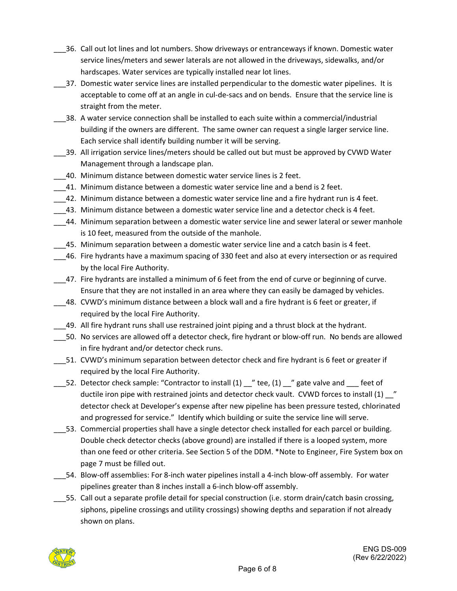- \_\_\_36. Call out lot lines and lot numbers. Show driveways or entranceways if known. Domestic water service lines/meters and sewer laterals are not allowed in the driveways, sidewalks, and/or hardscapes. Water services are typically installed near lot lines.
- \_\_\_37. Domestic water service lines are installed perpendicular to the domestic water pipelines. It is acceptable to come off at an angle in cul-de-sacs and on bends. Ensure that the service line is straight from the meter.
- \_\_\_38. A water service connection shall be installed to each suite within a commercial/industrial building if the owners are different. The same owner can request a single larger service line. Each service shall identify building number it will be serving.
- \_\_\_39. All irrigation service lines/meters should be called out but must be approved by CVWD Water Management through a landscape plan.
- \_\_\_40. Minimum distance between domestic water service lines is 2 feet.
- \_\_\_41. Minimum distance between a domestic water service line and a bend is 2 feet.
- \_\_\_42. Minimum distance between a domestic water service line and a fire hydrant run is 4 feet.
- \_\_\_43. Minimum distance between a domestic water service line and a detector check is 4 feet.
- \_\_\_44. Minimum separation between a domestic water service line and sewer lateral or sewer manhole is 10 feet, measured from the outside of the manhole.
- 45. Minimum separation between a domestic water service line and a catch basin is 4 feet.
- \_\_\_46. Fire hydrants have a maximum spacing of 330 feet and also at every intersection or as required by the local Fire Authority.
- \_\_\_47. Fire hydrants are installed a minimum of 6 feet from the end of curve or beginning of curve. Ensure that they are not installed in an area where they can easily be damaged by vehicles.
- \_\_\_48. CVWD's minimum distance between a block wall and a fire hydrant is 6 feet or greater, if required by the local Fire Authority.
- \_\_\_49. All fire hydrant runs shall use restrained joint piping and a thrust block at the hydrant.
- \_\_\_50. No services are allowed off a detector check, fire hydrant or blow-off run. No bends are allowed in fire hydrant and/or detector check runs.
- \_\_\_51. CVWD's minimum separation between detector check and fire hydrant is 6 feet or greater if required by the local Fire Authority.
- 52. Detector check sample: "Contractor to install (1) \_\_" tee, (1) \_\_" gate valve and \_\_\_ feet of ductile iron pipe with restrained joints and detector check vault. CVWD forces to install (1) \_\_" detector check at Developer's expense after new pipeline has been pressure tested, chlorinated and progressed for service." Identify which building or suite the service line will serve.
- \_\_\_53. Commercial properties shall have a single detector check installed for each parcel or building. Double check detector checks (above ground) are installed if there is a looped system, more than one feed or other criteria. See Section 5 of the DDM. \*Note to Engineer, Fire System box on page 7 must be filled out.
- \_\_\_54. Blow-off assemblies: For 8-inch water pipelines install a 4-inch blow-off assembly. For water pipelines greater than 8 inches install a 6-inch blow-off assembly.
- \_\_\_55. Call out a separate profile detail for special construction (i.e. storm drain/catch basin crossing, siphons, pipeline crossings and utility crossings) showing depths and separation if not already shown on plans.

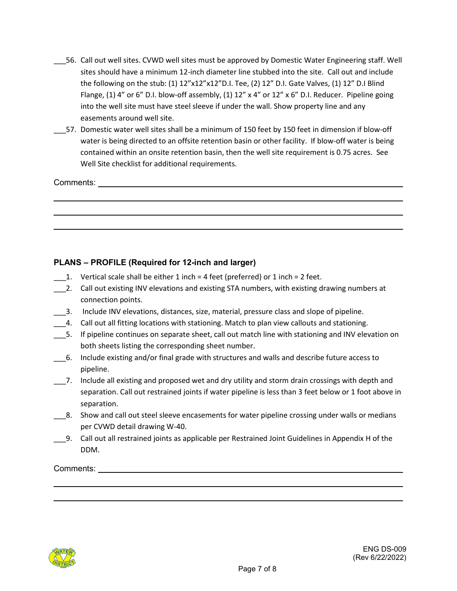- \_\_\_56. Call out well sites. CVWD well sites must be approved by Domestic Water Engineering staff. Well sites should have a minimum 12-inch diameter line stubbed into the site. Call out and include the following on the stub: (1) 12"x12"x12"D.I. Tee, (2) 12" D.I. Gate Valves, (1) 12" D.I Blind Flange, (1) 4" or 6" D.I. blow-off assembly, (1)  $12" \times 4"$  or  $12" \times 6"$  D.I. Reducer. Pipeline going into the well site must have steel sleeve if under the wall. Show property line and any easements around well site.
- \_\_\_57. Domestic water well sites shall be a minimum of 150 feet by 150 feet in dimension if blow-off water is being directed to an offsite retention basin or other facility. If blow-off water is being contained within an onsite retention basin, then the well site requirement is 0.75 acres. See Well Site checklist for additional requirements.

Comments:

## **PLANS – PROFILE (Required for 12-inch and larger)**

- 1. Vertical scale shall be either 1 inch  $=$  4 feet (preferred) or 1 inch  $=$  2 feet.
- 2. Call out existing INV elevations and existing STA numbers, with existing drawing numbers at connection points.
- \_\_\_3. Include INV elevations, distances, size, material, pressure class and slope of pipeline.
- \_\_\_4. Call out all fitting locations with stationing. Match to plan view callouts and stationing.
- \_\_\_5. If pipeline continues on separate sheet, call out match line with stationing and INV elevation on both sheets listing the corresponding sheet number.
- \_\_\_6. Include existing and/or final grade with structures and walls and describe future access to pipeline.
- \_\_\_7. Include all existing and proposed wet and dry utility and storm drain crossings with depth and separation. Call out restrained joints if water pipeline is less than 3 feet below or 1 foot above in separation.
- \_\_\_8. Show and call out steel sleeve encasements for water pipeline crossing under walls or medians per CVWD detail drawing W-40.
- \_\_\_9. Call out all restrained joints as applicable per Restrained Joint Guidelines in Appendix H of the DDM.

Comments: